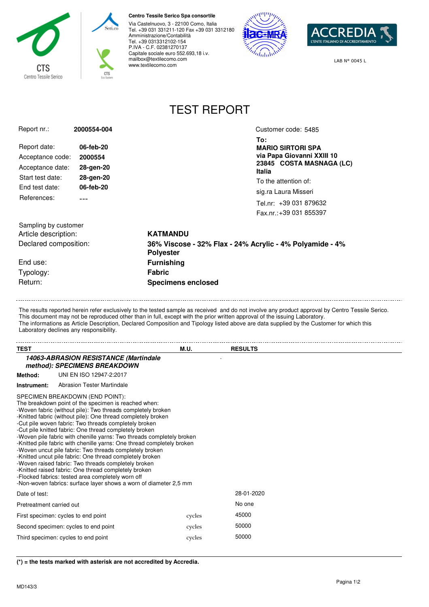

## **Centro Tessile Serico Spa consortile**

Via Castelnuovo, 3 - 22100 Como, Italia Tel. +39 031 331211-120 Fax +39 031 3312180 Amministrazione/Contabilità Tel. +39 0313312102-154 P.IVA - C.F. 02381270137 Capitale sociale euro 552.693,18 i.v. mailbox@textilecomo.com www.textilecomo.com





LAB N° 0045 L

## TEST REPORT

| Report nr.:                                  | 2000554-004                                                                                                                                     |                                                                              | Customer code: 5485                                    |  |
|----------------------------------------------|-------------------------------------------------------------------------------------------------------------------------------------------------|------------------------------------------------------------------------------|--------------------------------------------------------|--|
|                                              | 06-feb-20<br>2000554<br>28-gen-20<br>28-gen-20<br>06-feb-20<br>---                                                                              |                                                                              | To:                                                    |  |
| Report date:                                 |                                                                                                                                                 |                                                                              | <b>MARIO SIRTORI SPA</b>                               |  |
| Acceptance code:                             |                                                                                                                                                 |                                                                              | via Papa Giovanni XXIII 10<br>23845 COSTA MASNAGA (LC) |  |
| Acceptance date:                             |                                                                                                                                                 |                                                                              | <b>Italia</b>                                          |  |
| Start test date:                             |                                                                                                                                                 |                                                                              | To the attention of:                                   |  |
| End test date:                               |                                                                                                                                                 |                                                                              | sig.ra Laura Misseri                                   |  |
| References:                                  |                                                                                                                                                 |                                                                              | Tel.nr: +39 031 879632                                 |  |
|                                              |                                                                                                                                                 |                                                                              | Fax.nr.: +39 031 855397                                |  |
|                                              |                                                                                                                                                 |                                                                              |                                                        |  |
| Sampling by customer<br>Article description: |                                                                                                                                                 |                                                                              |                                                        |  |
|                                              |                                                                                                                                                 | <b>KATMANDU</b>                                                              |                                                        |  |
| Declared composition:                        |                                                                                                                                                 | 36% Viscose - 32% Flax - 24% Acrylic - 4% Polyamide - 4%<br><b>Polyester</b> |                                                        |  |
| End use:                                     |                                                                                                                                                 | <b>Furnishing</b><br><b>Fabric</b><br><b>Specimens enclosed</b>              |                                                        |  |
| Typology:                                    |                                                                                                                                                 |                                                                              |                                                        |  |
| Return:                                      |                                                                                                                                                 |                                                                              |                                                        |  |
|                                              |                                                                                                                                                 |                                                                              |                                                        |  |
| Laboratory declines any responsibility.      |                                                                                                                                                 |                                                                              |                                                        |  |
| TEST                                         |                                                                                                                                                 | M.U.                                                                         | <b>RESULTS</b>                                         |  |
|                                              | 14063-ABRASION RESISTANCE (Martindale<br>method): SPECIMENS BREAKDOWN                                                                           |                                                                              |                                                        |  |
| Method:                                      | UNI EN ISO 12947-2:2017                                                                                                                         |                                                                              |                                                        |  |
| Instrument:                                  | Abrasion Tester Martindale                                                                                                                      |                                                                              |                                                        |  |
|                                              | SPECIMEN BREAKDOWN (END POINT):                                                                                                                 |                                                                              |                                                        |  |
|                                              | The breakdown point of the specimen is reached when:                                                                                            |                                                                              |                                                        |  |
|                                              | -Woven fabric (without pile): Two threads completely broken<br>-Knitted fabric (without pile): One thread completely broken                     |                                                                              |                                                        |  |
|                                              | -Cut pile woven fabric: Two threads completely broken                                                                                           |                                                                              |                                                        |  |
|                                              |                                                                                                                                                 |                                                                              |                                                        |  |
|                                              | -Cut pile knitted fabric: One thread completely broken                                                                                          |                                                                              |                                                        |  |
|                                              | -Woven pile fabric with chenille yarns: Two threads completely broken<br>-Knitted pile fabric with chenille yarns: One thread completely broken |                                                                              |                                                        |  |
|                                              | -Woven uncut pile fabric: Two threads completely broken                                                                                         |                                                                              |                                                        |  |
|                                              | -Knitted uncut pile fabric: One thread completely broken<br>-Woven raised fabric: Two threads completely broken                                 |                                                                              |                                                        |  |
|                                              | -Knitted raised fabric: One thread completely broken                                                                                            |                                                                              |                                                        |  |
|                                              | -Flocked fabrics: tested area completely worn off<br>-Non-woven fabrics: surface layer shows a worn of diameter 2.5 mm                          |                                                                              |                                                        |  |
| Date of test:                                |                                                                                                                                                 |                                                                              | 28-01-2020                                             |  |
| Pretreatment carried out                     |                                                                                                                                                 |                                                                              | No one                                                 |  |
| First specimen: cycles to end point          |                                                                                                                                                 | cycles                                                                       | 45000                                                  |  |

**(\*) = the tests marked with asterisk are not accredited by Accredia.**

Third specimen: cycles to end point cycles cycles 50000